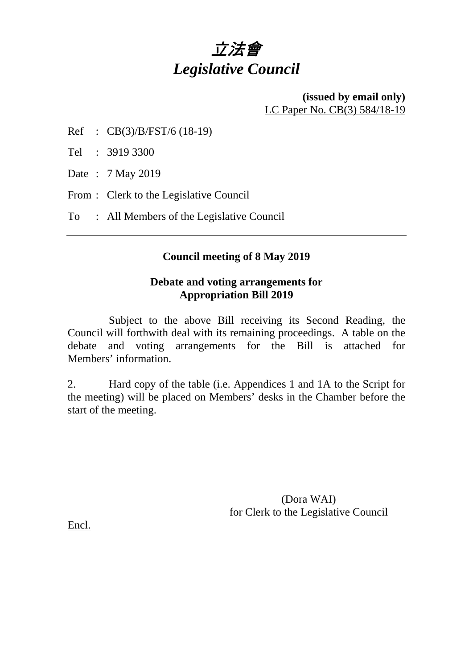# 立法會 *Legislative Council*

#### **(issued by email only)** LC Paper No. CB(3) 584/18-19

Ref : CB(3)/B/FST/6 (18-19)

Tel : 3919 3300

Date : 7 May 2019

From : Clerk to the Legislative Council

To : All Members of the Legislative Council

### **Council meeting of 8 May 2019**

### **Debate and voting arrangements for Appropriation Bill 2019**

 Subject to the above Bill receiving its Second Reading, the Council will forthwith deal with its remaining proceedings. A table on the debate and voting arrangements for the Bill is attached for Members' information.

2. Hard copy of the table (i.e. Appendices 1 and 1A to the Script for the meeting) will be placed on Members' desks in the Chamber before the start of the meeting.

> (Dora WAI) for Clerk to the Legislative Council

Encl.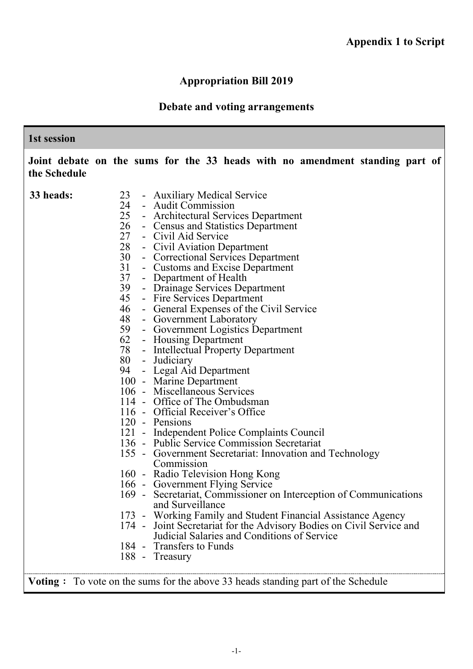# **Appropriation Bill 2019**

# **Debate and voting arrangements**

| 1st session  |                                                                                                                                                                                                                                                                                                                                                                                                                                                                                                                                                                                                                                                                                                                                                                                                                                                                                                                                                                                                                                                                                                                                                                                                                                                                                                                                                                                                      |
|--------------|------------------------------------------------------------------------------------------------------------------------------------------------------------------------------------------------------------------------------------------------------------------------------------------------------------------------------------------------------------------------------------------------------------------------------------------------------------------------------------------------------------------------------------------------------------------------------------------------------------------------------------------------------------------------------------------------------------------------------------------------------------------------------------------------------------------------------------------------------------------------------------------------------------------------------------------------------------------------------------------------------------------------------------------------------------------------------------------------------------------------------------------------------------------------------------------------------------------------------------------------------------------------------------------------------------------------------------------------------------------------------------------------------|
| the Schedule | Joint debate on the sums for the 33 heads with no amendment standing part of                                                                                                                                                                                                                                                                                                                                                                                                                                                                                                                                                                                                                                                                                                                                                                                                                                                                                                                                                                                                                                                                                                                                                                                                                                                                                                                         |
| 33 heads:    | 23<br>- Auxiliary Medical Service<br>24 - Audit Commission<br>25<br>- Architectural Services Department<br>26<br>- Census and Statistics Department<br>27 - Civil Aid Service<br>28 - Civil Aviation Department<br>30<br>- Correctional Services Department<br>31<br>- Customs and Excise Department<br>37<br>- Department of Health<br>39<br>- Drainage Services Department<br>45<br>- Fire Services Department<br>46<br>- General Expenses of the Civil Service<br>48<br>- Government Laboratory<br>59<br>- Government Logistics Department<br>62<br>- Housing Department<br>78 - Intellectual Property Department<br>80 - Judiciary<br>94<br>- Legal Aid Department<br>100 - Marine Department<br>106 - Miscellaneous Services<br>114 - Office of The Ombudsman<br>116 - Official Receiver's Office<br>120 - Pensions<br>121 - Independent Police Complaints Council<br>136 - Public Service Commission Secretariat<br>155 - Government Secretariat: Innovation and Technology<br>Commission<br>160 - Radio Television Hong Kong<br>166 - Government Flying Service<br>169 - Secretariat, Commissioner on Interception of Communications<br>and Surveillance<br>173 - Working Family and Student Financial Assistance Agency<br>174 - Joint Secretariat for the Advisory Bodies on Civil Service and<br>Judicial Salaries and Conditions of Service<br>184 - Transfers to Funds<br>188 - Treasury |

**Voting**: To vote on the sums for the above 33 heads standing part of the Schedule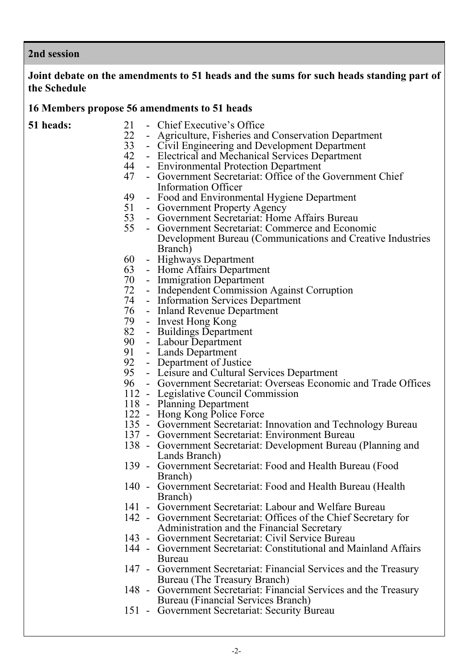#### **2nd session**

#### **Joint debate on the amendments to 51 heads and the sums for such heads standing part of the Schedule**

#### **16 Members propose 56 amendments to 51 heads**

- **51 heads:** <sup>21</sup> Chief Executive's Office<br><sup>22</sup> Agriculture Fisheries and
	- 22 Agriculture, Fisheries and Conservation Department<br>33 Civil Engineering and Development Department
	- 33 Civil Engineering and Development Department
	- 42 Electrical and Mechanical Services Department<br>44 Environmental Protection Department
	- 44 Environmental Protection Department<br>47 Government Secretariat: Office of the
		- Government Secretariat: Office of the Government Chief Information Officer
	- 49 Food and Environmental Hygiene Department<br>51 Government Property Agency
	- **Government Property Agency**
	- 53 Government Secretariat: Home Affairs Bureau
		- 55 Government Secretariat: Commerce and Economic Development Bureau (Communications and Creative Industries Branch)
	- 60 Highways Department
	- Home Affairs Department
	- 70 Immigration Department
	- 72 Independent Commission Against Corruption
	- Information Services Department
	- 76 Inland Revenue Department
	- 79 Invest Hong Kong
	- Buildings Department
	- 90 Labour Department<br>91 Lands Department
	- 91 Lands Department<br>92 Department of Just
	- 92 Department of Justice<br>95 Leisure and Cultural S
	- 95 Leisure and Cultural Services Department<br>96 Government Secretariat: Overseas Econon
	- 96 Government Secretariat: Overseas Economic and Trade Offices
	- 112 Legislative Council Commission
	- 118 Planning Department
	- 122 Hong Kong Police Force
	- 135 Government Secretariat: Innovation and Technology Bureau
	- 137 Government Secretariat: Environment Bureau
	- 138 Government Secretariat: Development Bureau (Planning and Lands Branch)
	- 139 Government Secretariat: Food and Health Bureau (Food Branch)
	- 140 Government Secretariat: Food and Health Bureau (Health Branch)
	- 141 Government Secretariat: Labour and Welfare Bureau
	- 142 Government Secretariat: Offices of the Chief Secretary for Administration and the Financial Secretary
	- 143 Government Secretariat: Civil Service Bureau
	- 144 Government Secretariat: Constitutional and Mainland Affairs Bureau
	- 147 Government Secretariat: Financial Services and the Treasury Bureau (The Treasury Branch)
	- 148 Government Secretariat: Financial Services and the Treasury Bureau (Financial Services Branch)
	- 151 Government Secretariat: Security Bureau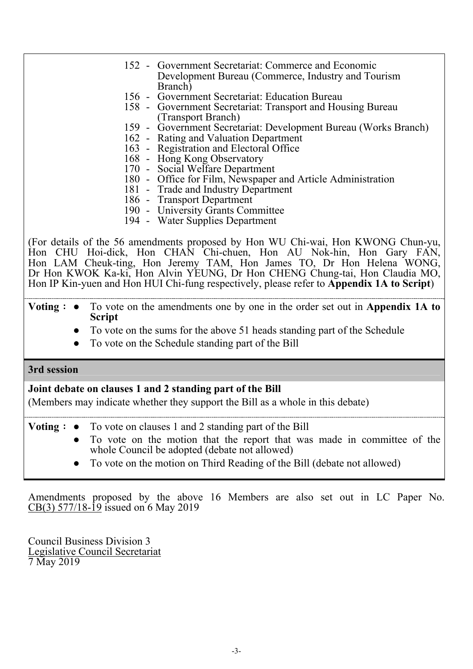| <b>Script</b> | <b>Voting :</b> $\bullet$ To vote on the amendments one by one in the order set out in Appendix 1A to |
|---------------|-------------------------------------------------------------------------------------------------------|
|               | Hon IP Kin-yuen and Hon HUI Chi-fung respectively, please refer to <b>Appendix 1A to Script</b> )     |
|               | Dr Hon KWOK Ka-ki, Hon Alvin YEUNG, Dr Hon CHENG Chung-tai, Hon Claudia MO,                           |
|               | Hon LAM Cheuk-ting, Hon Jeremy TAM, Hon James TO, Dr Hon Helena WONG,                                 |
|               | Hon CHU Hoi-dick, Hon CHAN Chi-chuen, Hon AU Nok-hin, Hon Gary FAN,                                   |
|               | (For details of the 56 amendments proposed by Hon WU Chi-wai, Hon KWONG Chun-yu,                      |
|               |                                                                                                       |
|               | 194 - Water Supplies Department                                                                       |
|               | 190 - University Grants Committee                                                                     |
|               | 186 - Transport Department                                                                            |
|               | 180 - Office for Film, Newspaper and Article Administration<br>181 - Trade and Industry Department    |
|               | 170 - Social Welfare Department                                                                       |
|               | 168 - Hong Kong Observatory                                                                           |
|               | 163 - Registration and Electoral Office                                                               |
|               | 162 - Rating and Valuation Department                                                                 |
|               | 159 - Government Secretariat: Development Bureau (Works Branch)                                       |
|               | (Transport Branch)                                                                                    |
|               | 158 - Government Secretariat: Transport and Housing Bureau                                            |
|               | 156 - Government Secretariat: Education Bureau                                                        |
|               | Branch)                                                                                               |
|               | Development Bureau (Commerce, Industry and Tourism                                                    |
|               | 152 - Government Secretariat: Commerce and Economic                                                   |
|               |                                                                                                       |

- To vote on the sums for the above 51 heads standing part of the Schedule
- To vote on the Schedule standing part of the Bill

#### **3rd session**

### **Joint debate on clauses 1 and 2 standing part of the Bill**

(Members may indicate whether they support the Bill as a whole in this debate)

**Voting**: **●** To vote on clauses 1 and 2 standing part of the Bill

- To vote on the motion that the report that was made in committee of the whole Council be adopted (debate not allowed)
- To vote on the motion on Third Reading of the Bill (debate not allowed)

Amendments proposed by the above 16 Members are also set out in LC Paper No. CB(3) 577/18-19 issued on 6 May 2019

Council Business Division 3 Legislative Council Secretariat 7 May 2019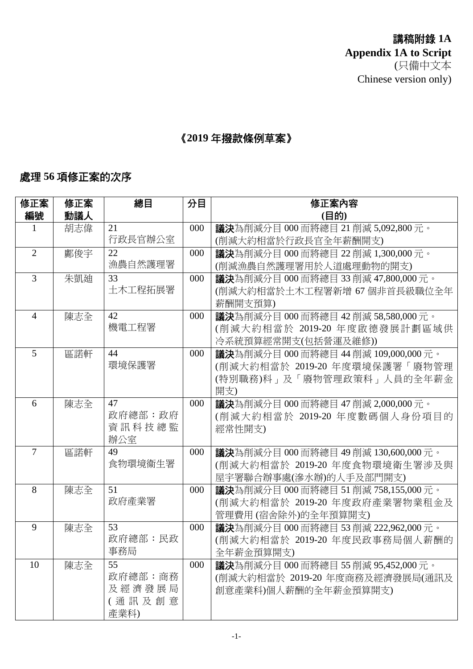講稿附錄 **1A Appendix 1A to Script** (只備中文本 Chinese version only)

# 《**2019** 年撥款條例草案》

# 處理 **56** 項修正案的次序

| 修正案 | 總目                                     | 分目                                                                                                                                                                                           | 修正案內容                                                                          |
|-----|----------------------------------------|----------------------------------------------------------------------------------------------------------------------------------------------------------------------------------------------|--------------------------------------------------------------------------------|
| 動議人 |                                        |                                                                                                                                                                                              | (目的)                                                                           |
| 胡志偉 | 21                                     | 000                                                                                                                                                                                          | 議決為削減分目 000 而將總目 21 削減 5,092,800 元。                                            |
|     |                                        |                                                                                                                                                                                              | (削減大約相當於行政長官全年薪酬開支)                                                            |
| 鄺俊宇 | 22                                     | 000                                                                                                                                                                                          | <b>議決</b> 為削減分目 000 而將總目 22 削減 1,300,000 元。                                    |
|     |                                        |                                                                                                                                                                                              | (削減漁農自然護理署用於人道處理動物的開支)                                                         |
| 朱凱廸 | 33                                     | 000                                                                                                                                                                                          | <b>議決</b> 為削減分目 000 而將總目 33 削減 47,800,000 元。                                   |
|     |                                        |                                                                                                                                                                                              | (削減大約相當於土木工程署新增 67 個非首長級職位全年                                                   |
|     |                                        |                                                                                                                                                                                              | 薪酬開支預算)                                                                        |
| 陳志全 | 42                                     | 000                                                                                                                                                                                          | <b>議決</b> 為削減分目 000 而將總目 42 削減 58,580,000 元。                                   |
|     |                                        |                                                                                                                                                                                              | (削減大約相當於 2019-20 年度啟德發展計劃區域供                                                   |
|     |                                        |                                                                                                                                                                                              | 冷系統預算經常開支(包括營運及維修))                                                            |
|     |                                        |                                                                                                                                                                                              | <b>議決</b> 為削減分目 000 而將總目 44 削減 109,000,000 元。                                  |
|     |                                        |                                                                                                                                                                                              | (削減大約相當於 2019-20 年度環境保護署「廢物管理                                                  |
|     |                                        |                                                                                                                                                                                              | (特別職務)科」及「廢物管理政策科」人員的全年薪金                                                      |
|     |                                        |                                                                                                                                                                                              | 開支)                                                                            |
|     |                                        |                                                                                                                                                                                              | <b>議決</b> 為削減分目 000 而將總目 47 削減 2,000,000 元。                                    |
|     |                                        |                                                                                                                                                                                              | (削減大約相當於 2019-20 年度數碼個人身份項目的                                                   |
|     |                                        |                                                                                                                                                                                              | 經常性開支)                                                                         |
|     |                                        |                                                                                                                                                                                              |                                                                                |
|     |                                        |                                                                                                                                                                                              | <b>議決</b> 為削減分目 000 而將總目 49 削減 130,600,000 元。                                  |
|     |                                        |                                                                                                                                                                                              | (削減大約相當於 2019-20 年度食物環境衛生署涉及與                                                  |
|     |                                        |                                                                                                                                                                                              | 屋宇署聯合辦事處(滲水辦)的人手及部門開支)                                                         |
|     |                                        |                                                                                                                                                                                              | <b>議決</b> 為削減分目 000 而將總目 51 削減 758,155,000 元。<br>(削減大約相當於 2019-20 年度政府產業署物業租金及 |
|     |                                        |                                                                                                                                                                                              | 管理費用 (宿舍除外)的全年預算開支)                                                            |
|     |                                        |                                                                                                                                                                                              | 議決為削減分目 000 而將總目 53 削減 222,962,000 元。                                          |
|     |                                        |                                                                                                                                                                                              | (削減大約相當於 2019-20 年度民政事務局個人薪酬的                                                  |
|     |                                        |                                                                                                                                                                                              | 全年薪金預算開支)                                                                      |
|     |                                        |                                                                                                                                                                                              | <b>議決</b> 為削減分目 000 而將總目 55 削減 95,452,000 元。                                   |
|     |                                        |                                                                                                                                                                                              | (削減大約相當於 2019-20 年度商務及經濟發展局(通訊及                                                |
|     |                                        |                                                                                                                                                                                              | 創意產業科)個人薪酬的全年薪金預算開支)                                                           |
|     |                                        |                                                                                                                                                                                              |                                                                                |
|     |                                        |                                                                                                                                                                                              |                                                                                |
|     | 區諾軒<br>陳志全<br>區諾軒<br>陳志全<br>陳志全<br>陳志全 | 行政長官辦公室<br>漁農自然護理署<br>土木工程拓展署<br>機電工程署<br>44<br>環境保護署<br>47<br>政府總部:政府<br>資訊科技總監<br>辦公室<br>49<br>食物環境衞生署<br>51<br>政府產業署<br>53<br>政府總部:民政<br>事務局<br>55<br>政府總部:商務<br>及經濟發展局<br>(通訊及創意<br>產業科) | 000<br>000<br>000<br>000<br>000<br>000                                         |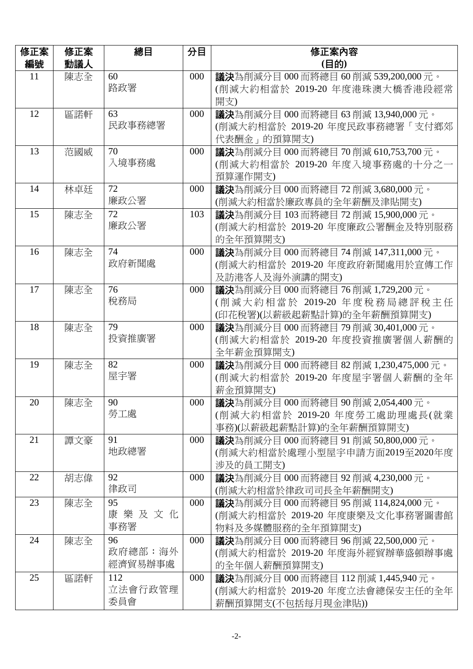| 修正案<br>編號 | 修正案<br>動議人 | 總目                       | 分目  | 修正案內容<br>(目的)                                                                                            |
|-----------|------------|--------------------------|-----|----------------------------------------------------------------------------------------------------------|
| 11        | 陳志全        | 60<br>路政署                | 000 | <b>議決</b> 為削減分目 000 而將總目 60 削減 539,200,000 元。<br>(削減大約相當於 2019-20 年度港珠澳大橋香港段經常<br>開支)                    |
| 12        | 區諾軒        | 63<br>民政事務總署             | 000 | <b>議決</b> 為削減分目 000 而將總目 63 削減 13,940,000 元。<br>(削減大約相當於 2019-20 年度民政事務總署「支付鄉郊<br>代表酬金 - 的預算開支)          |
| 13        | 范國威        | 70<br>入境事務處              | 000 | <b>議決</b> 為削減分目 000 而將總目 70 削減 610,753,700 元。<br>(削減大約相當於 2019-20 年度入境事務處的十分之一<br>預算運作開支)                |
| 14        | 林卓廷        | 72<br>廉政公署               | 000 | <b>議決</b> 為削減分目 000 而將總目 72 削減 3,680,000 元。<br>(削減大約相當於廉政專員的全年薪酬及津貼開支)                                   |
| 15        | 陳志全        | 72<br>廉政公署               | 103 | <b>議決</b> 為削減分目 103 而將總目 72 削減 15,900,000 元。<br>(削減大約相當於 2019-20 年度廉政公署酬金及特別服務<br>的全年預算開支)               |
| 16        | 陳志全        | 74<br>政府新聞處              | 000 | <b>議決</b> 為削減分目 000 而將總目 74 削減 147,311,000 元。<br>(削減大約相當於 2019-20 年度政府新聞處用於宣傳工作<br>及訪港客人及海外演講的開支)        |
| 17        | 陳志全        | 76<br>稅務局                | 000 | <b>議決</b> 為削減分目 000 而將總目 76 削減 1,729,200 元。<br>(削減大約相當於 2019-20 年度稅務局總評稅主任<br>(印花稅署)(以薪級起薪點計算)的全年薪酬預算開支) |
| 18        | 陳志全        | 79<br>投資推廣署              | 000 | <b>議決</b> 為削減分目 000 而將總目 79 削減 30,401,000 元。<br>(削減大約相當於 2019-20 年度投資推廣署個人薪酬的<br>全年薪金預算開支)               |
| 19        | 陳志全        | 82<br>屋宇署                | 000 | <b>議決</b> 為削減分目 000 而將總目 82 削減 1,230,475,000 元。<br>(削減大約相當於 2019-20 年度屋宇署個人薪酬的全年<br>薪金預算開支)              |
| 20        | 陳志全        | 90<br>勞工處                | 000 | <b>議決</b> 為削減分目 000 而將總目 90 削減 2,054,400 元。<br>(削減大約相當於 2019-20 年度勞工處助理處長(就業<br>事務)(以薪級起薪點計算)的全年薪酬預算開支)  |
| 21        | 譚文豪        | 91<br>地政總署               | 000 | <b>議決</b> 為削減分目 000 而將總目 91 削減 50,800,000 元。<br>(削減大約相當於處理小型屋宇申請方面2019至2020年度<br>涉及的員工開支)                |
| 22        | 胡志偉        | 92<br>律政司                | 000 | <b>議決</b> 為削減分目 000 而將總目 92 削減 4,230,000 元。<br>(削減大約相當於律政司司長全年薪酬開支)                                      |
| 23        | 陳志全        | 95<br>康樂及文化<br>事務署       | 000 | <b>議決</b> 為削減分目 000 而將總目 95 削減 114,824,000 元。<br>(削減大約相當於 2019-20 年度康樂及文化事務署圖書館<br>物料及多媒體服務的全年預算開支)      |
| 24        | 陳志全        | 96<br>政府總部:海外<br>經濟貿易辦事處 | 000 | <b>議決</b> 為削減分目 000 而將總目 96 削減 22,500,000 元。<br>(削減大約相當於 2019-20 年度海外經貿辦華盛頓辦事處<br>的全年個人薪酬預算開支)           |
| 25        | 區諾軒        | 112<br>立法會行政管理<br>委員會    | 000 | <b>議決</b> 為削減分目 000 而將總目 112 削減 1,445,940 元。<br>(削減大約相當於 2019-20 年度立法會總保安主任的全年<br>薪酬預算開支(不包括每月現金津貼))     |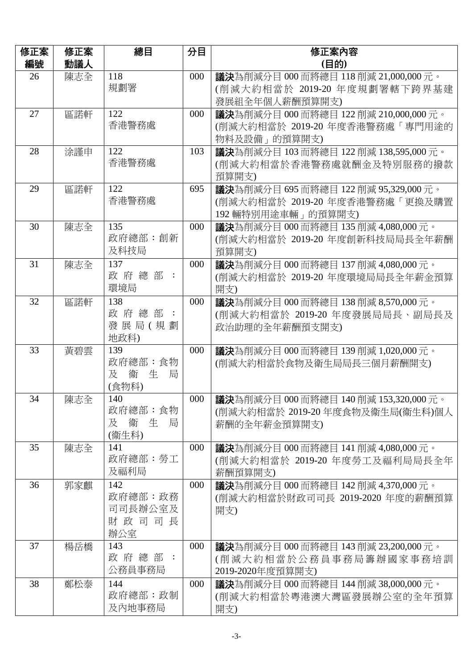| 修正案 | 修正案 | 總目                                        | 分目  | 修正案內容                                                                                                  |
|-----|-----|-------------------------------------------|-----|--------------------------------------------------------------------------------------------------------|
| 編號  | 動議人 |                                           |     | (目的)                                                                                                   |
| 26  | 陳志全 | 118<br>規劃署                                | 000 | <b>議決</b> 為削減分目 000 而將總目 118 削減 21,000,000 元。<br>(削減大約相當於 2019-20 年度規劃署轄下跨界基建<br>發展組全年個人薪酬預算開支)        |
| 27  | 區諾軒 | 122<br>香港警務處                              | 000 | <b>議決</b> 為削減分目 000 而將總目 122 削減 210,000,000 元。<br>(削減大約相當於 2019-20 年度香港警務處「專門用途的<br>物料及設備 的預算開支)       |
| 28  | 涂謹申 | 122<br>香港警務處                              | 103 | <b>議決</b> 為削減分目 103 而將總目 122 削減 138,595,000 元。<br>(削減大約相當於香港警務處就酬金及特別服務的撥款<br>預算開支)                    |
| 29  | 區諾軒 | 122<br>香港警務處                              | 695 | <b>議決</b> 為削減分目 695 而將總目 122 削減 95,329,000 元。<br>(削減大約相當於 2019-20 年度香港警務處「更換及購置<br>192 輛特別用途車輛 再的預算開支) |
| 30  | 陳志全 | 135<br>政府總部:創新<br>及科技局                    | 000 | <b>議決</b> 為削減分目 000 而將總目 135 削減 4,080,000 元。<br>(削減大約相當於 2019-20 年度創新科技局局長全年薪酬<br>預算開支)                |
| 31  | 陳志全 | 137<br>政府總部:<br>環境局                       | 000 | 議決為削減分目 000 而將總目 137 削減 4,080,000 元。<br>(削減大約相當於 2019-20 年度環境局局長全年薪金預算<br>開支)                          |
| 32  | 區諾軒 | 138<br>政府總部:<br>發展局(規劃<br>地政科)            | 000 | 議決為削減分目 000 而將總目 138 削減 8,570,000 元。<br>(削減大約相當於 2019-20 年度發展局局長、副局長及<br>政治助理的全年薪酬預支開支)                |
| 33  | 黃碧雲 | 139<br>政府總部:食物<br>及 衛<br>生<br>局<br>(食物科)  | 000 | 議決為削減分目 000 而將總目 139 削減 1,020,000 元。<br>(削減大約相當於食物及衛生局局長三個月薪酬開支)                                       |
| 34  | 陳志全 | 140<br>政府總部:食物<br>及<br>衞<br>生 局<br>(衞生科)  | 000 | <b>議決</b> 為削減分目 000 而將總目 140 削減 153,320,000 元。<br>(削減大約相當於 2019-20年度食物及衞生局(衞生科)個人<br>薪酬的全年薪金預算開支)      |
| 35  | 陳志全 | 141<br>政府總部:勞工<br>及福利局                    | 000 | <b>議決</b> 為削減分目 000 而將總目 141 削減 4,080,000 元。<br>(削減大約相當於 2019-20 年度勞工及福利局局長全年<br>薪酬預算開支)               |
| 36  | 郭家麒 | 142<br>政府總部:政務<br>司司長辦公室及<br>財政司司長<br>辦公室 | 000 | <b>議決</b> 為削減分目 000 而將總目 142 削減 4,370,000 元。<br>(削減大約相當於財政司司長 2019-2020 年度的薪酬預算<br>開支)                 |
| 37  | 楊岳橋 | 143<br>政 府 總 部 :<br>公務員事務局                | 000 | <b>議決</b> 為削減分目 000 而將總目 143 削減 23,200,000 元。<br>(削減大約相當於公務員事務局籌辦國家事務培訓)<br>2019-2020年度預算開支)           |
| 38  | 鄭松泰 | 144<br>政府總部:政制<br>及內地事務局                  | 000 | <b>議決</b> 為削減分目 000 而將總目 144 削減 38,000,000 元。<br>(削減大約相當於粵港澳大灣區發展辦公室的全年預算<br>開支)                       |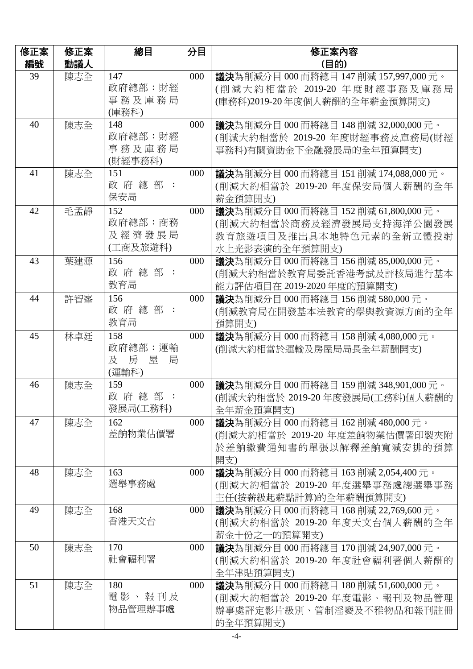| 議決為削減分目 000 而將總目 147 削減 157,997,000 元。                                         |
|--------------------------------------------------------------------------------|
| (削減大約相當於 2019-20 年度財經事務及庫務局                                                    |
| (庫務科)2019-20年度個人薪酬的全年薪金預算開支)                                                   |
| <b>議決</b> 為削減分目 000 而將總目 148 削減 32,000,000 元。                                  |
| (削減大約相當於 2019-20 年度財經事務及庫務局(財經                                                 |
| 事務科)有關資助金下金融發展局的全年預算開支)                                                        |
|                                                                                |
| <b>議決</b> 為削減分目 000 而將總目 151 削減 174,088,000 元。                                 |
| (削減大約相當於 2019-20 年度保安局個人薪酬的全年                                                  |
|                                                                                |
| 議決為削減分目 000 而將總目 152 削減 61,800,000 元。                                          |
| (削減大約相當於商務及經濟發展局支持海洋公園發展                                                       |
| 教育旅遊項目及推出具本地特色元素的全新立體投射                                                        |
|                                                                                |
| 議決為削減分目 000 而將總目 156 削減 85,000,000 元。                                          |
| (削減大約相當於教育局委託香港考試及評核局進行基本                                                      |
| 能力評估項目在 2019-2020 年度的預算開支)                                                     |
| 議決為削減分目 000 而將總目 156 削減 580,000 元。                                             |
| (削減教育局在開發基本法教育的學與教資源方面的全年                                                      |
|                                                                                |
| <b>議決</b> 為削減分目 000 而將總目 158 削減 4,080,000 元。                                   |
| (削減大約相當於運輸及房屋局局長全年薪酬開支)                                                        |
|                                                                                |
|                                                                                |
| <b>議決</b> 為削減分目 000 而將總目 159 削減 348,901,000 元。                                 |
| (削減大約相當於 2019-20 年度發展局(工務科)個人薪酬的                                               |
|                                                                                |
| 議決為削減分目 000 而將總目 162 削減 480,000 元。                                             |
| (削減大約相當於 2019-20 年度差餉物業估價署印製夾附                                                 |
| 於差餉繳費通知書的單張以解釋差餉寬減安排的預算                                                        |
|                                                                                |
| <b>議決</b> 為削減分目 000 而將總目 163 削減 2,054,400 元。                                   |
| (削減大約相當於 2019-20 年度選舉事務處總選舉事務                                                  |
| 主任(按薪級起薪點計算)的全年薪酬預算開支)                                                         |
| <b>議決</b> 為削減分目 000 而將總目 168 削減 22,769,600 元。                                  |
| (削減大約相當於 2019-20 年度天文台個人薪酬的全年                                                  |
|                                                                                |
| <b>議決</b> 為削減分目 000 而將總目 170 削減 24,907,000 元。<br>(削減大約相當於 2019-20 年度社會福利署個人薪酬的 |
|                                                                                |
| <b>議決</b> 為削減分目 000 而將總目 180 削減 51,600,000 元。                                  |
| (削減大約相當於 2019-20 年度電影、報刊及物品管理                                                  |
|                                                                                |
| 辦事處評定影片級別、管制淫褻及不雅物品和報刊註冊                                                       |
|                                                                                |